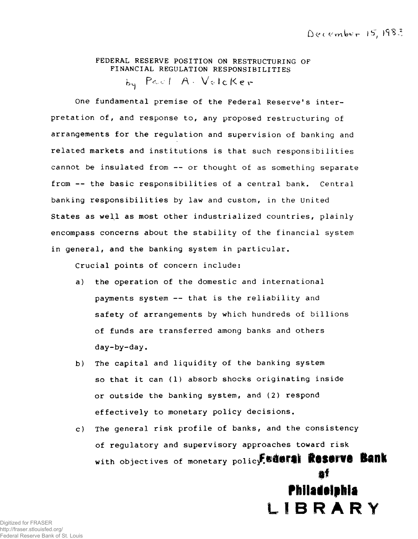# **FEDERAL RESERVE POSITION ON RESTRUCTURING OF FINANCIAL REGULATION RESPONSIBILITIES**

by Paul A. Volcker

**One fundamental premise of the Federal Reserve's interpretation of, and response to, any proposed restructuring of arrangements for the regulation and supervision of banking and related markets and institutions is that such responsibilities cannot be insulated from — or thought of as something separate from -- the basic responsibilities of a central bank. Central banking responsibilities by law and custom, in the United States as well as most other industrialized countries, plainly encompass concerns about the stability of the financial system in general, and the banking system in particular.**

**Crucial points of concern include:**

- **a) the operation of the domestic and international payments system — that is the reliability and safety of arrangements by which hundreds of billions of funds are transferred among banks and others day-by-day.**
- **b) The capital and liquidity of the banking system so that it can (1) absorb shocks originating inside or outside the banking system, and (2) respond effectively to monetary policy decisions.**
- **c) The general risk profile of banks, and the consistency of regulatory and supervisory approaches toward risk** with objectives of monetary policy.<sup>[8]</sup> with **ROSSIV& Bank** af

# Philadolphia LIBRARY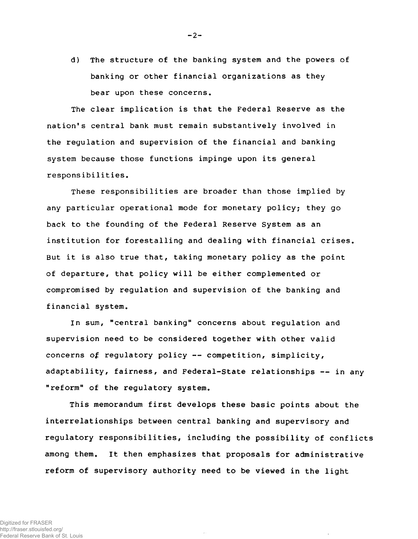**d) The structure of the banking system and the powers of banking or other financial organizations as they bear upon these concerns.**

**The clear implication is that the Federal Reserve as the nation's central bank must remain substantively involved in the regulation and supervision of the financial and banking system because those functions impinge upon its general responsibilities.**

**These responsibilities are broader than those implied by any particular operational mode for monetary policy; they go back to the founding of the Federal Reserve System as an institution for forestalling and dealing with financial crises. But it is also true that, taking monetary policy as the point of departure, that policy will be either complemented or compromised by regulation and supervision of the banking and financial system.**

**In sum, "central banking" concerns about regulation and supervision need to be considered together with other valid concerns of regulatory policy — competition, simplicity, adaptability, fairness, and Federal-State relationships — in any "reform" of the regulatory system.**

**This memorandum first develops these basic points about the interrelationships between central banking and supervisory and regulatory responsibilities, including the possibility of conflicts among them. It then emphasizes that proposals for administrative reform of supervisory authority need to be viewed in the light**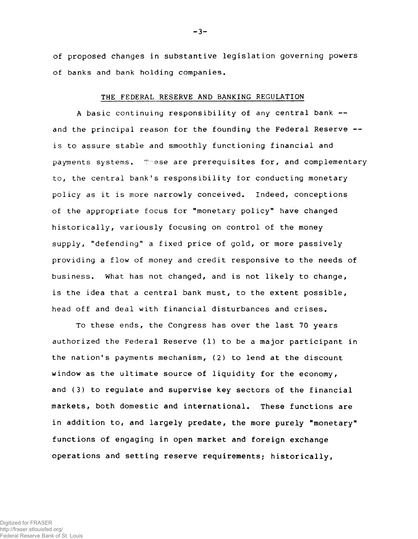**of proposed changes in substantive legislation governing powers of banks and bank holding companies.**

#### **THE FEDERAL RESERVE AND BANKING REGULATION**

**A basic continuing responsibility of any central bank and the principal reason for the founding the Federal Reserve is to assure stable and smoothly functioning financial and** payments systems. These are prerequisites for, and complementary **to, the central bank's responsibility for conducting monetary policy as it is more narrowly conceived. Indeed, conceptions of the appropriate focus for "monetary policy" have changed historically, variously focusing on control of the money supply, "defending" a fixed price of gold, or more passively providing a flow of money and credit responsive to the needs of business. What has not changed, and is not likely to change, is the idea that a central bank must, to the extent possible, head off and deal with financial disturbances and crises.**

**To these ends, the Congress has over the last 70 years authorized the Federal Reserve (1) to be a major participant in the nation's payments mechanism, (2) to lend at the discount window as the ultimate source of liquidity for the economy, and (3) to regulate and supervise key sectors of the financial markets, both domestic and international. These functions are in addition to, and largely predate, the more purely "monetary" functions of engaging in open market and foreign exchange operations and setting reserve requirements; historically,**

**- 3-**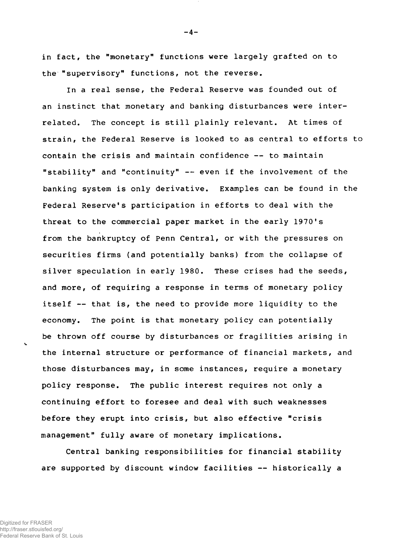**in fact, the "monetary" functions were largely grafted on to the "supervisory" functions, not the reverse.**

**In a real sense, the Federal Reserve was founded out of an instinct that monetary and banking disturbances were interrelated. The concept is still plainly relevant. At times of strain, the Federal Reserve is looked to as central to efforts to contain the crisis and maintain confidence — to maintain "stability" and "continuity" -- even if the involvement of the banking system is only derivative. Examples can be found in the Federal Reserve's participation in efforts to deal with the threat to the commercial paper market in the early 1970's from the bankruptcy of Penn Central, or with the pressures on securities firms (and potentially banks) from the collapse of silver speculation in early 1980. These crises had the seeds, and more, of requiring a response in terms of monetary policy itself — that is, the need to provide more liquidity to the economy. The point is that monetary policy can potentially be thrown off course by disturbances or fragilities arising in the internal structure or performance of financial markets, and those disturbances may, in some instances, require a monetary policy response. The public interest requires not only a continuing effort to foresee and deal with such weaknesses before they erupt into crisis, but also effective "crisis management" fully aware of monetary implications.**

**Central banking responsibilities for financial stability are supported by discount window facilities — historically a**

 $\mathbf{r}$ 

**- 4-**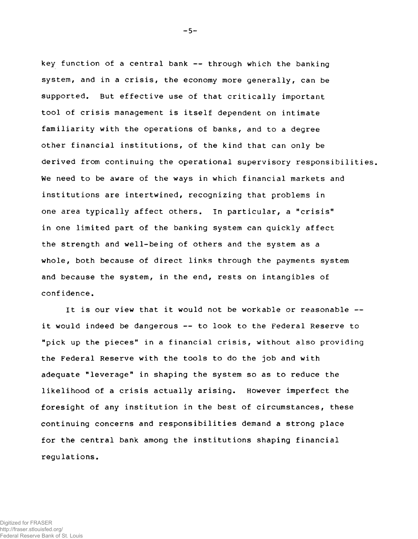**key function of a central bank — through which the banking system, and in a crisis, the economy more generally, can be supported. But effective use of that critically important tool of crisis management is itself dependent on intimate familiarity with the operations of banks, and to a degree other financial institutions, of the kind that can only be derived from continuing the operational supervisory responsibilities. We need to be aware of the ways in which financial markets and institutions are intertwined, recognizing that problems in one area typically affect others. In particular, a "crisis" in one limited part of the banking system can quickly affect the strength and well-being of others and the system as a whole, both because of direct links through the payments system and because the system, in the end, rests on intangibles of conf idence.**

**It is our view that it would not be workable or reasonable it would indeed be dangerous — to look to the Federal Reserve to "pick up the pieces" in a financial crisis, without also providing the Federal Reserve with the tools to do the job and with adequate "leverage" in shaping the system so as to reduce the likelihood of a crisis actually arising. However imperfect the foresight of any institution in the best of circumstances, these continuing concerns and responsibilities demand a strong place for the central bank among the institutions shaping financial regulations.**

**- 5-**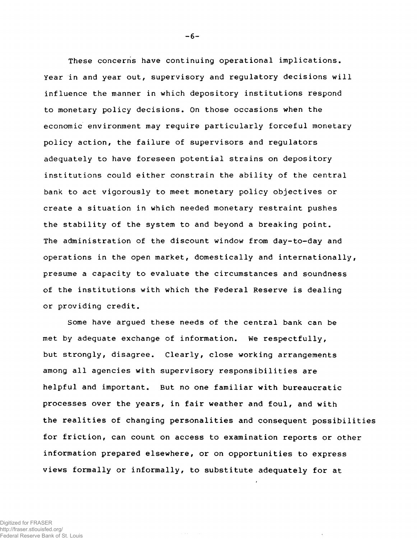**These concerns have continuing operational implications. Year in and year out, supervisory and regulatory decisions will influence the manner in which depository institutions respond to monetary policy decisions. On those occasions when the economic environment may require particularly forceful monetary policy action, the failure of supervisors and regulators adequately to have foreseen potential strains on depository institutions could either constrain the ability of the central bank to act vigorously to meet monetary policy objectives or create a situation in which needed monetary restraint pushes the stability of the system to and beyond a breaking point. The administration of the discount window from day-to-day and operations in the open market, domestically and internationally, presume a capacity to evaluate the circumstances and soundness of the institutions with which the Federal Reserve is dealing or providing credit.**

**Some have argued these needs of the central bank can be met by adequate exchange of information. We respectfully, but strongly, disagree. Clearly, close working arrangements among all agencies with supervisory responsibilities are helpful and important. But no one familiar with bureaucratic processes over the years, in fair weather and foul, and with the realities of changing personalities and consequent possibilities for friction, can count on access to examination reports or other information prepared elsewhere, or on opportunities to express views formally or informally, to substitute adequately for at**

 $\sim$   $\sim$ 

**- 6-**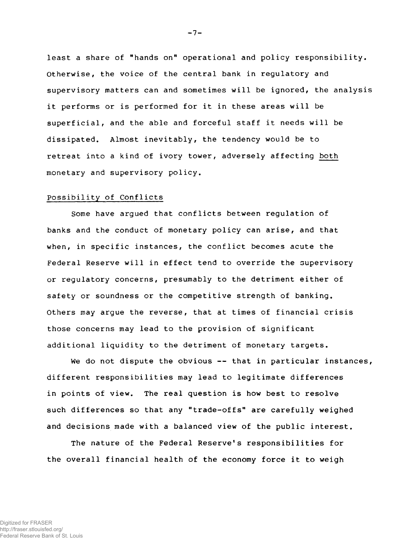**least a share of "hands on" operational and policy responsibility. Otherwise, the voice of the central bank in regulatory and supervisory matters can and sometimes will be ignored, the analysis it performs or is performed for it in these areas will be superficial, and the able and forceful staff it needs will be dissipated. Almost inevitably, the tendency would be to retreat into a kind of ivory tower, adversely affecting both monetary and supervisory policy.**

#### **Possibility of Conflicts**

**Some have argued that conflicts between regulation of banks and the conduct of monetary policy can arise, and that when, in specific instances, the conflict becomes acute the Federal Reserve will in effect tend to override the supervisory or regulatory concerns, presumably to the detriment either of safety or soundness or the competitive strength of banking. Others may argue the reverse, that at times of financial crisis those concerns may lead to the provision of significant additional liquidity to the detriment of monetary targets.**

**We do not dispute the obvious — that in particular instances, different responsibilities may lead to legitimate differences in points of view. The real question is how best to resolve such differences so that any "trade-offs" are carefully weighed and decisions made with a balanced view of the public interest.**

**The nature of the Federal Reserve's responsibilities for the overall financial health of the economy force it to weigh**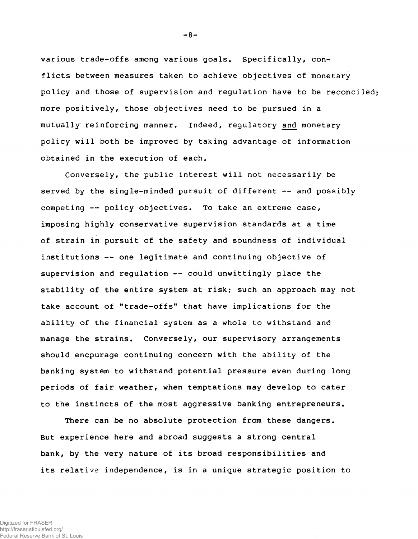**various trade-offs among various goals. Specifically, conflicts between measures taken to achieve objectives of monetary policy and those of supervision and regulation have to be reconciled more positively, those objectives need to be pursued in a mutually reinforcing manner. Indeed, regulatory and monetary policy will both be improved by taking advantage of information obtained in the execution of each.**

**Conversely, the public interest will not necessarily be served by the single-minded pursuit of different — and possibly competing — policy objectives. To take an extreme case, imposing highly conservative supervision standards at a time of strain in pursuit of the safety and soundness of individual institutions — one legitimate and continuing objective of supervision and regulation — could unwittingly place the stability of the entire system at risk; such an approach may not take account of "trade-offs" that have implications for the ability of the financial system as a whole to withstand and manage the strains. Conversely, our supervisory arrangements should encpurage continuing concern with the ability of the banking system to withstand potential pressure even during long periods of fair weather, when temptations may develop to cater to the instincts of the most aggressive banking entrepreneurs.**

**There can be no absolute protection from these dangers. But experience here and abroad suggests a strong central bank, by the very nature of its broad responsibilities and its relative independence, is in a unique strategic position to**

**- 8-**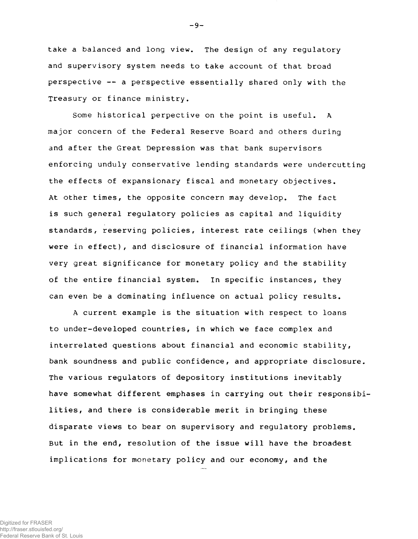**take a balanced and long view. The design of any regulatory and supervisory system needs to take account of that broad perspective — a perspective essentially shared only with the Treasury or finance ministry.**

**Some historical perpective on the point is useful. A major concern of the Federal Reserve Board and others during and after the Great Depression was that bank supervisors enforcing unduly conservative lending standards were undercutting the effects of expansionary fiscal and monetary objectives. At other times, the opposite concern may develop. The fact is such general regulatory policies as capital and liquidity standards, reserving policies, interest rate ceilings (when they were in effect), and disclosure of financial information have very great significance for monetary policy and the stability of the entire financial system. In specific instances, they can even be a dominating influence on actual policy results.**

**A current example is the situation with respect to loans to under-developed countries, in which we face complex and interrelated questions about financial and economic stability, bank soundness and public confidence, and appropriate disclosure. The various regulators of depository institutions inevitably have somewhat different emphases in carrying out their responsibilities, and there is considerable merit in bringing these disparate views to bear on supervisory and regulatory problems. But in the end, resolution of the issue will have the broadest implications for monetary policy and our economy, and the**

**- 9-**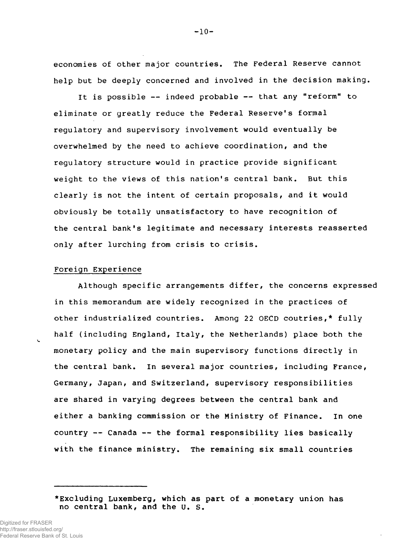**economies of other major countries. The Federal Reserve cannot help but be deeply concerned and involved in the decision making.**

**It is possible — indeed probable — that any "reform" to eliminate or greatly reduce the Federal Reserve's formal regulatory and supervisory involvement would eventually be overwhelmed by the need to achieve coordination, and the regulatory structure would in practice provide significant weight to the views of this nation's central bank. But this clearly is not the intent of certain proposals, and it would obviously be totally unsatisfactory to have recognition of the central bank's legitimate and necessary interests reasserted only after lurching from crisis to crisis.**

# **Foreign Experience**

**Although specific arrangements differ, the concerns expressed in this memorandum are widely recognized in the practices of other industrialized countries. Among 22 OECD coutries,\* fully half (including England, Italy, the Netherlands) place both the monetary policy and the main supervisory functions directly in the central bank. In several major countries, including France, Germany, Japan, and Switzerland, supervisory responsibilities are shared in varying degrees between the central bank and either a banking commission or the Ministry of Finance. In one country — Canada — the formal responsibility lies basically with the finance ministry. The remaining six small countries**

**- 10-**

**<sup>♦</sup>Excluding Luxemberg, which as part of a monetary union has no central bank, and the U. S.**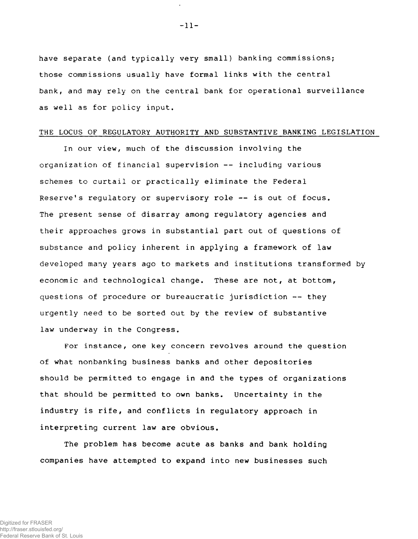**have separate (and typically very small) banking commissions; those commissions usually have formal links with the central bank, and may rely on the central bank for operational surveillance as well as for policy input.**

# **THE LOCUS OF REGULATORY AUTHORITY AND SUBSTANTIVE BANKING LEGISLATION**

**In our view, much of the discussion involving the organization of financial supervision — including various schemes to curtail or practically eliminate the Federal Reserve's regulatory or supervisory role — is out of focus. The present sense of disarray among regulatory agencies and their approaches grows in substantial part out of questions of substance and policy inherent in applying a framework of law developed many years ago to markets and institutions transformed by economic and technological change. These are not, at bottom, questions of procedure or bureaucratic jurisdiction — they urgently need to be sorted out by the review of substantive law underway in the Congress.**

**For instance, one key concern revolves around the question of what nonbanking business banks and other depositories should be permitted to engage in and the types of organizations that should be permitted to own banks. Uncertainty in the industry is rife, and conflicts in regulatory approach in interpreting current law are obvious.**

**The problem has become acute as banks and bank holding companies have attempted to expand into new businesses such**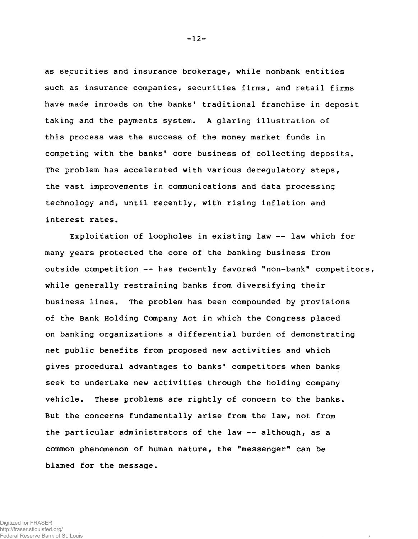**as securities and insurance brokerage, while nonbank entities such as insurance companies, securities firms, and retail firms have made inroads on the banks' traditional franchise in deposit taking and the payments system. A glaring illustration of this process was the success of the money market funds in competing with the banks' core business of collecting deposits. The problem has accelerated with various deregulatory steps, the vast improvements in communications and data processing technology and, until recently, with rising inflation and interest rates.**

**Exploitation of loopholes in existing law — law which for many years protected the core of the banking business from outside competition — has recently favored "non-bank" competitors, while generally restraining banks from diversifying their business lines. The problem has been compounded by provisions of the Bank Holding Company Act in which the Congress placed on banking organizations a differential burden of demonstrating net public benefits from proposed new activities and which gives procedural advantages to banks' competitors when banks seek to undertake new activities through the holding company vehicle. These problems are rightly of concern to the banks. But the concerns fundamentally arise from the law, not from the particular administrators of the law — although, as a common phenomenon of human nature, the "messenger" can be blamed for the message.**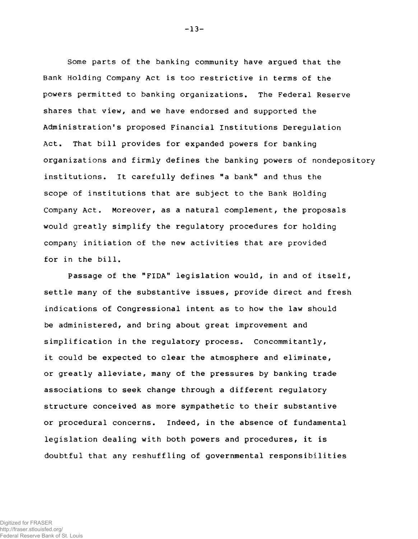**Some parts of the banking community have argued that the Bank Holding Company Act is too restrictive in terms of the powers permitted to banking organizations. The Federal Reserve shares that view, and we have endorsed and supported the Administration's proposed Financial Institutions Deregulation Act. That bill provides for expanded powers for banking organizations and firmly defines the banking powers of nondepository institutions. It carefully defines "a bank" and thus the scope of institutions that are subject to the Bank Holding Company Act. Moreover, as a natural complement, the proposals would greatly simplify the regulatory procedures for holding company initiation of the new activities that are provided for in the bill.**

**Passage of the "FIDA" legislation would, in and of itself, settle many of the substantive issues, provide direct and fresh indications of Congressional intent as to how the law should be administered, and bring about great improvement and simplification in the regulatory process. Concommitantly, it could be expected to clear the atmosphere and eliminate, or greatly alleviate, many of the pressures by banking trade associations to seek change through a different regulatory structure conceived as more sympathetic to their substantive or procedural concerns. Indeed, in the absence of fundamental legislation dealing with both powers and procedures, it is doubtful that any reshuffling of governmental responsibilities**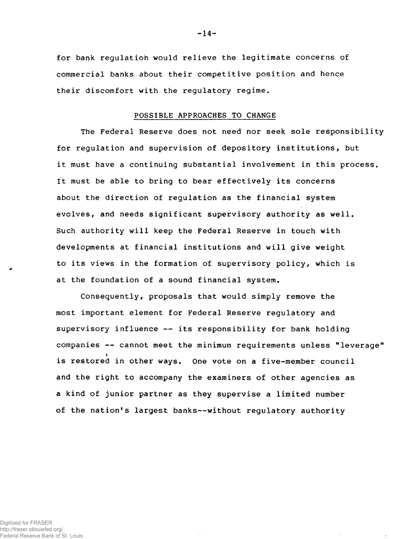**for bank regulation would relieve the legitimate concerns of commercial banks about their competitive position and hence their discomfort with the regulatory regime.**

#### **POSSIBLE APPROACHES TO CHANGE**

**The Federal Reserve does not need nor seek sole responsibility for regulation and supervision of depository institutions, but it must have a continuing substantial involvement in this process. It must be able to bring to bear effectively its concerns about the direction of regulation as the financial system evolves, and needs significant supervisory authority as well. Such authority will keep the Federal Reserve in touch with developments at financial institutions and will give weight to its views in the formation of supervisory policy, which is at the foundation of a sound financial system.**

**Consequently, proposals that would simply remove the most important element for Federal Reserve regulatory and supervisory influence — its responsibility for bank holding companies — cannot meet the minimum requirements unless "leverage" is restored in other ways. One vote on a five-member council and the right to accompany the examiners of other agencies as a kind of junior partner as they supervise a limited number of the nation's largest banks— without regulatory authority**

Digitized for FRASER http://fraser.stlouisfed.org/ Federal Reserve Bank of St. Louis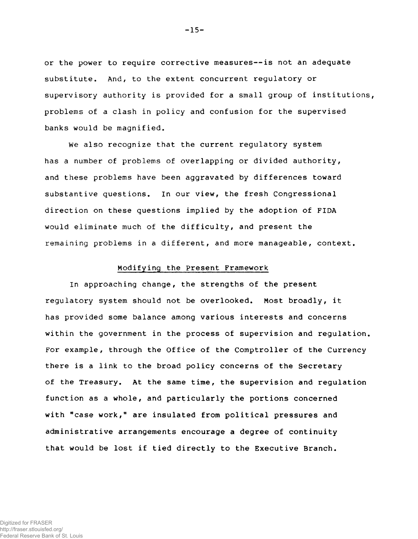**or the power to require corrective measures— is not an adequate substitute. And, to the extent concurrent regulatory or supervisory authority is provided for a small group of institutions, problems of a clash in policy and confusion for the supervised banks would be magnified.**

**We also recognize that the current regulatory system has a number of problems of overlapping or divided authority, and these problems have been aggravated by differences toward substantive questions. In our view, the fresh Congressional direction on these questions implied by the adoption of FIDA would eliminate much of the difficulty, and present the remaining problems in a different, and more manageable, context.**

# **Modifying the Present Framework**

**In approaching change, the strengths of the present regulatory system should not be overlooked. Most broadly, it has provided some balance among various interests and concerns within the government in the process of supervision and regulation. For example, through the Office of the Comptroller of the Currency there is a link to the broad policy concerns of the Secretary of the Treasury. At the same time, the supervision and regulation function as a whole, and particularly the portions concerned with "case work," are insulated from political pressures and administrative arrangements encourage a degree of continuity that would be lost if tied directly to the Executive Branch.**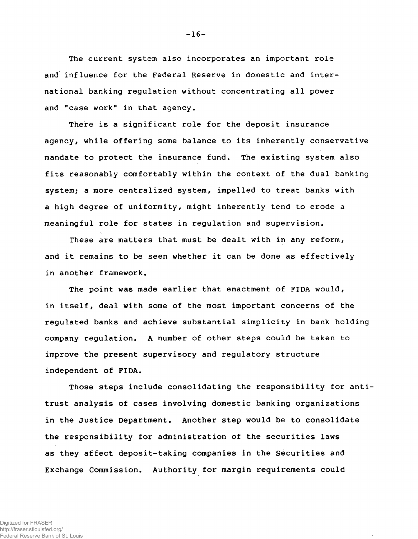**The current system also incorporates an important role and influence for the Federal Reserve in domestic and international banking regulation without concentrating all power and "case work" in that agency.**

**There is a significant role for the deposit insurance agency, while offering some balance to its inherently conservative mandate to protect the insurance fund. The existing system also fits reasonably comfortably within the context of the dual banking system; a more centralized system, impelled to treat banks with a high degree of uniformity, might inherently tend to erode a meaningful role for states in regulation and supervision.**

**These are matters that must be dealt with in any reform, and it remains to be seen whether it can be done as effectively in another framework.**

**The point was made earlier that enactment of FIDA would, in itself, deal with some of the most important concerns of the regulated banks and achieve substantial simplicity in bank holding company regulation. A number of other steps could be taken to improve the present supervisory and regulatory structure independent of FIDA.**

**Those steps include consolidating the responsibility for antitrust analysis of cases involving domestic banking organizations in the Justice Department. Another step would be to consolidate the responsibility for administration of the securities laws as they affect deposit-taking companies in the Securities and Exchange Commission. Authority for margin requirements could**

**- 16-**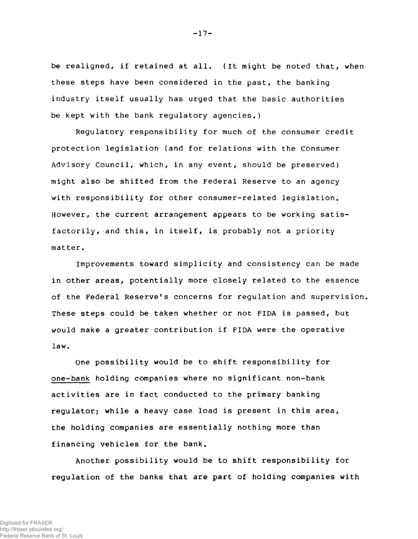**be realigned, if retained at all. (it might be noted that, when these steps have been considered in the past, the banking industry itself usually has urged that the basic authorities be kept with the bank regulatory agencies.)**

**Regulatory responsibility for much of the consumer credit protection legislation (and for relations with the Consumer Advisory Council, which, in any event, should be preserved) might also be shifted from the Federal Reserve to an agency with responsibility for other consumer-related legislation. However, the current arrangement appears to be working satisfactorily, and this, in itself, is probably not a priority matter.**

**Improvements toward simplicity and consistency can be made in other areas, potentially more closely related to the essence of the Federal Reserve's concerns for regulation and supervision. These steps could be taken whether or not FIDA is passed, but would make a greater contribution if FIDA were the operative law.**

**One possibility would be to shift responsibility for one-bank holding companies where no significant non-bank activities are in fact conducted to the primary banking regulator; while a heavy case load is present in this area, the holding companies are essentially nothing more than financing vehicles for the bank.**

**Another possibility would be to shift responsibility for regulation of the banks that are part of holding companies with**